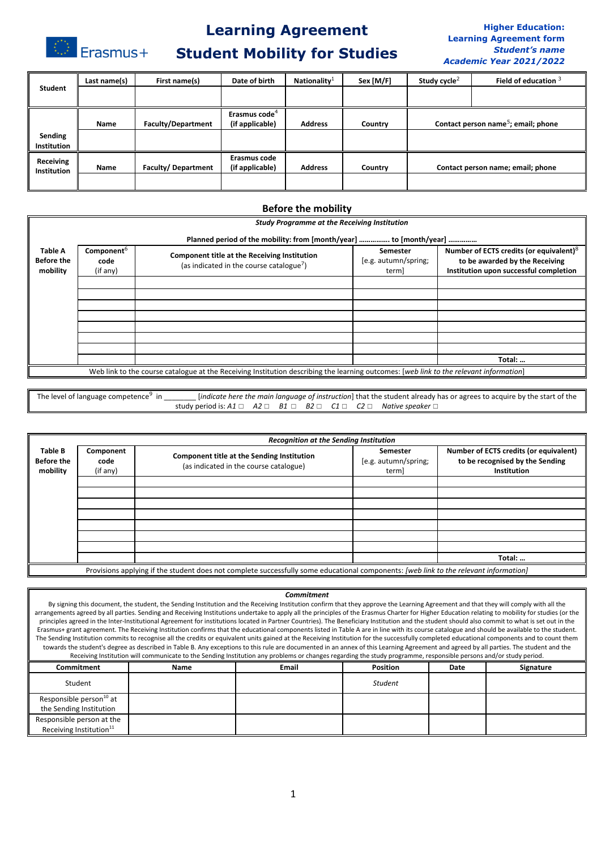Erasmus+

# **Learning Agreement**

## **Student Mobility for Studies**

#### **Higher Education: Learning Agreement form** *Student's name Academic Year 2021/2022*

|                    | Last name(s) | First name(s)             | Date of birth             | Nationality $1$ | Sex [M/F] | Study cycle <sup>2</sup> | Field of education $3$                          |
|--------------------|--------------|---------------------------|---------------------------|-----------------|-----------|--------------------------|-------------------------------------------------|
| Student            |              |                           |                           |                 |           |                          |                                                 |
|                    |              |                           |                           |                 |           |                          |                                                 |
|                    |              |                           | Erasmus code <sup>4</sup> |                 |           |                          |                                                 |
|                    | Name         | <b>Faculty/Department</b> | (if applicable)           | <b>Address</b>  | Country   |                          | Contact person name <sup>5</sup> ; email; phone |
| Sending            |              |                           |                           |                 |           |                          |                                                 |
| <b>Institution</b> |              |                           |                           |                 |           |                          |                                                 |
| Receiving          |              |                           | Erasmus code              |                 |           |                          |                                                 |
| Institution        | Name         | <b>Faculty/Department</b> | (if applicable)           | <b>Address</b>  | Country   |                          | Contact person name; email; phone               |
|                    |              |                           |                           |                 |           |                          |                                                 |
|                    |              |                           |                           |                 |           |                          |                                                 |

### **Before the mobility**

|                                                 | <b>Study Programme at the Receiving Institution</b> |                                                                                                                                        |                                           |                                                                                                                                 |  |
|-------------------------------------------------|-----------------------------------------------------|----------------------------------------------------------------------------------------------------------------------------------------|-------------------------------------------|---------------------------------------------------------------------------------------------------------------------------------|--|
|                                                 |                                                     | Planned period of the mobility: from [month/year]  to [month/year]                                                                     |                                           |                                                                                                                                 |  |
| <b>Table A</b><br><b>Before the</b><br>mobility | Component <sup>6</sup><br>code<br>(if any)          | Component title at the Receiving Institution<br>(as indicated in the course catalogue <sup>7</sup> )                                   | Semester<br>[e.g. autumn/spring;<br>term] | Number of ECTS credits (or equivalent) <sup>8</sup><br>to be awarded by the Receiving<br>Institution upon successful completion |  |
|                                                 |                                                     |                                                                                                                                        |                                           |                                                                                                                                 |  |
|                                                 |                                                     |                                                                                                                                        |                                           |                                                                                                                                 |  |
|                                                 |                                                     |                                                                                                                                        |                                           |                                                                                                                                 |  |
|                                                 |                                                     |                                                                                                                                        |                                           |                                                                                                                                 |  |
|                                                 |                                                     |                                                                                                                                        |                                           |                                                                                                                                 |  |
|                                                 |                                                     |                                                                                                                                        |                                           |                                                                                                                                 |  |
|                                                 |                                                     |                                                                                                                                        |                                           |                                                                                                                                 |  |
|                                                 |                                                     |                                                                                                                                        |                                           | Total:                                                                                                                          |  |
|                                                 |                                                     | Web link to the course catalogue at the Receiving Institution describing the learning outcomes: [web link to the relevant information] |                                           |                                                                                                                                 |  |

| The level of language competence <sup>9</sup> in |                                                                                                    |  |  | <i>lindicate here the main language of instruction</i> ] that the student already has or agrees to acquire by the start of the |
|--------------------------------------------------|----------------------------------------------------------------------------------------------------|--|--|--------------------------------------------------------------------------------------------------------------------------------|
|                                                  | study period is: A1 $\Box$ A2 $\Box$ B1 $\Box$ B2 $\Box$ C1 $\Box$ C2 $\Box$ Native speaker $\Box$ |  |  |                                                                                                                                |

|                                                 |                               | <b>Recognition at the Sending Institution</b>                                                                                         |                                           |                                                                                          |
|-------------------------------------------------|-------------------------------|---------------------------------------------------------------------------------------------------------------------------------------|-------------------------------------------|------------------------------------------------------------------------------------------|
| <b>Table B</b><br><b>Before the</b><br>mobility | Component<br>code<br>(if any) | Component title at the Sending Institution<br>(as indicated in the course catalogue)                                                  | Semester<br>[e.g. autumn/spring;<br>term] | Number of ECTS credits (or equivalent)<br>to be recognised by the Sending<br>Institution |
|                                                 |                               |                                                                                                                                       |                                           |                                                                                          |
|                                                 |                               |                                                                                                                                       |                                           |                                                                                          |
|                                                 |                               |                                                                                                                                       |                                           |                                                                                          |
|                                                 |                               |                                                                                                                                       |                                           |                                                                                          |
|                                                 |                               |                                                                                                                                       |                                           |                                                                                          |
|                                                 |                               |                                                                                                                                       |                                           |                                                                                          |
|                                                 |                               |                                                                                                                                       |                                           |                                                                                          |
|                                                 |                               |                                                                                                                                       |                                           | Total:                                                                                   |
|                                                 |                               | Provisions applying if the student does not complete successfully some educational components: [web link to the relevant information] |                                           |                                                                                          |

#### *Commitment*

By signing this document, the student, the Sending Institution and the Receiving Institution confirm that they approve the Learning Agreement and that they will comply with all the arrangements agreed by all parties. Sending and Receiving Institutions undertake to apply all the principles of the Erasmus Charter for Higher Education relating to mobility for studies (or the principles agreed in the Inter-Institutional Agreement for institutions located in Partner Countries). The Beneficiary Institution and the student should also commit to what is set out in the Erasmus+ grant agreement. The Receiving Institution confirms that the educational components listed in Table A are in line with its course catalogue and should be available to the student. The Sending Institution commits to recognise all the credits or equivalent units gained at the Receiving Institution for the successfully completed educational components and to count them towards the student's degree as described in Table B. Any exceptions to this rule are documented in an annex of this Learning Agreement and agreed by all parties. The student and the Receiving Institution will communicate to the Sending Institution any problems or changes regarding the study programme, responsible persons and/or study period.

| <b>Commitment</b>                                                | <b>Name</b> | <b>Email</b> | Position       | Date | Signature |
|------------------------------------------------------------------|-------------|--------------|----------------|------|-----------|
| Student                                                          |             |              | <b>Student</b> |      |           |
| Responsible person <sup>10</sup> at<br>the Sending Institution   |             |              |                |      |           |
| Responsible person at the<br>Receiving Institution <sup>11</sup> |             |              |                |      |           |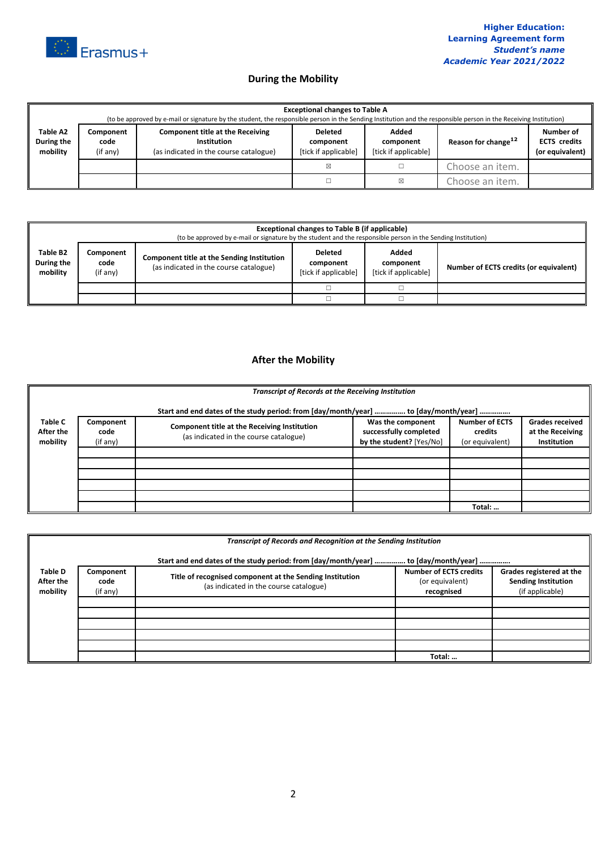

## **During the Mobility**

|                                    | <b>Exceptional changes to Table A</b><br>(to be approved by e-mail or signature by the student, the responsible person in the Sending Institution and the responsible person in the Receiving Institution) |                                                                                                         |                                                     |                                            |                                 |                                                     |  |
|------------------------------------|------------------------------------------------------------------------------------------------------------------------------------------------------------------------------------------------------------|---------------------------------------------------------------------------------------------------------|-----------------------------------------------------|--------------------------------------------|---------------------------------|-----------------------------------------------------|--|
| Table A2<br>During the<br>mobility | Component<br>code<br>(if any)                                                                                                                                                                              | <b>Component title at the Receiving</b><br><b>Institution</b><br>(as indicated in the course catalogue) | <b>Deleted</b><br>component<br>[tick if applicable] | Added<br>component<br>[tick if applicable] | Reason for change <sup>12</sup> | Number of<br><b>ECTS</b> credits<br>(or equivalent) |  |
|                                    |                                                                                                                                                                                                            |                                                                                                         | X                                                   |                                            | Choose an item.                 |                                                     |  |
|                                    |                                                                                                                                                                                                            |                                                                                                         |                                                     | ⊠                                          | Choose an item.                 |                                                     |  |

|                                    | <b>Exceptional changes to Table B (if applicable)</b><br>(to be approved by e-mail or signature by the student and the responsible person in the Sending Institution) |                                                                                             |                                                     |                                            |                                        |  |
|------------------------------------|-----------------------------------------------------------------------------------------------------------------------------------------------------------------------|---------------------------------------------------------------------------------------------|-----------------------------------------------------|--------------------------------------------|----------------------------------------|--|
| Table B2<br>During the<br>mobility | Component<br>code<br>(if any)                                                                                                                                         | <b>Component title at the Sending Institution</b><br>(as indicated in the course catalogue) | <b>Deleted</b><br>component<br>[tick if applicable] | Added<br>component<br>[tick if applicable] | Number of ECTS credits (or equivalent) |  |
|                                    |                                                                                                                                                                       |                                                                                             |                                                     |                                            |                                        |  |
|                                    |                                                                                                                                                                       |                                                                                             |                                                     |                                            |                                        |  |

### **After the Mobility**

|                                         | <b>Transcript of Records at the Receiving Institution</b> |                                                                                               |                                                                         |                                                     |                                                                  |
|-----------------------------------------|-----------------------------------------------------------|-----------------------------------------------------------------------------------------------|-------------------------------------------------------------------------|-----------------------------------------------------|------------------------------------------------------------------|
|                                         |                                                           | Start and end dates of the study period: from [day/month/year]  to [day/month/year]           |                                                                         |                                                     |                                                                  |
| <b>Table C</b><br>After the<br>mobility | Component<br>code<br>(if any)                             | <b>Component title at the Receiving Institution</b><br>(as indicated in the course catalogue) | Was the component<br>successfully completed<br>by the student? [Yes/No] | <b>Number of ECTS</b><br>credits<br>(or equivalent) | <b>Grades received</b><br>at the Receiving<br><b>Institution</b> |
|                                         |                                                           |                                                                                               |                                                                         |                                                     |                                                                  |
|                                         |                                                           |                                                                                               |                                                                         |                                                     |                                                                  |
|                                         |                                                           |                                                                                               |                                                                         |                                                     |                                                                  |
|                                         |                                                           |                                                                                               |                                                                         |                                                     |                                                                  |
|                                         |                                                           |                                                                                               |                                                                         |                                                     |                                                                  |
|                                         |                                                           |                                                                                               |                                                                         | Total:                                              |                                                                  |

|                                  | Transcript of Records and Recognition at the Sending Institution<br>Start and end dates of the study period: from [day/month/year]  to [day/month/year] |                                                                                                    |                                                                |                                                                           |  |  |
|----------------------------------|---------------------------------------------------------------------------------------------------------------------------------------------------------|----------------------------------------------------------------------------------------------------|----------------------------------------------------------------|---------------------------------------------------------------------------|--|--|
| Table D<br>After the<br>mobility | Component<br>code<br>(if any)                                                                                                                           | Title of recognised component at the Sending Institution<br>(as indicated in the course catalogue) | <b>Number of ECTS credits</b><br>(or equivalent)<br>recognised | Grades registered at the<br><b>Sending Institution</b><br>(if applicable) |  |  |
|                                  |                                                                                                                                                         |                                                                                                    |                                                                |                                                                           |  |  |
|                                  |                                                                                                                                                         |                                                                                                    |                                                                |                                                                           |  |  |
|                                  |                                                                                                                                                         |                                                                                                    | Total:                                                         |                                                                           |  |  |